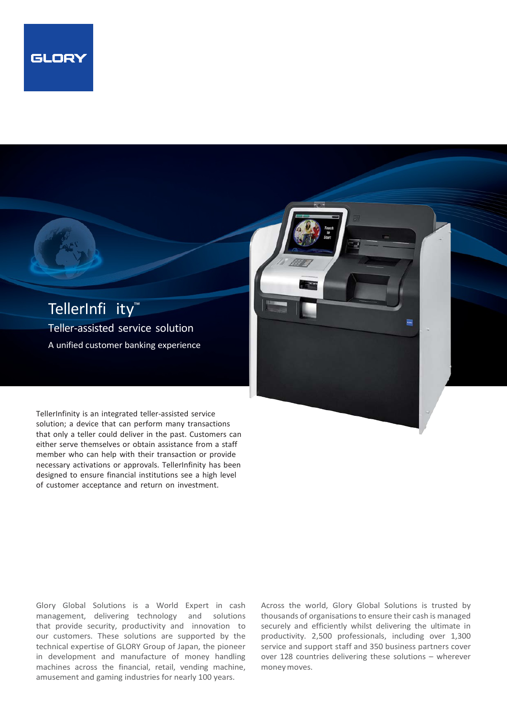



TellerInfinity is an integrated teller-assisted service solution; a device that can perform many transactions that only a teller could deliver in the past. Customers can either serve themselves or obtain assistance from a staff member who can help with their transaction or provide necessary activations or approvals. TellerInfinity has been designed to ensure financial institutions see a high level of customer acceptance and return on investment.

Glory Global Solutions is a World Expert in cash management, delivering technology and solutions that provide security, productivity and innovation to our customers. These solutions are supported by the technical expertise of GLORY Group of Japan, the pioneer in development and manufacture of money handling machines across the financial, retail, vending machine, amusement and gaming industries for nearly 100 years.

Across the world, Glory Global Solutions is trusted by thousands of organisations to ensure their cash is managed securely and efficiently whilst delivering the ultimate in productivity. 2,500 professionals, including over 1,300 service and support staff and 350 business partners cover over 128 countries delivering these solutions – wherever moneymoves.